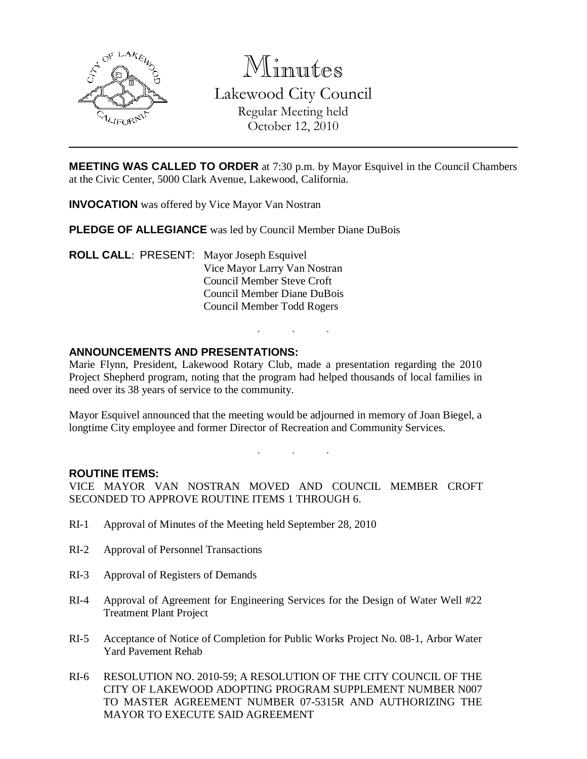

Minutes Lakewood City Council Regular Meeting held October 12, 2010

**MEETING WAS CALLED TO ORDER** at 7:30 p.m. by Mayor Esquivel in the Council Chambers at the Civic Center, 5000 Clark Avenue, Lakewood, California.

**INVOCATION** was offered by Vice Mayor Van Nostran

**PLEDGE OF ALLEGIANCE** was led by Council Member Diane DuBois

**ROLL CALL**: PRESENT: Mayor Joseph Esquivel Vice Mayor Larry Van Nostran Council Member Steve Croft Council Member Diane DuBois Council Member Todd Rogers

### **ANNOUNCEMENTS AND PRESENTATIONS:**

Marie Flynn, President, Lakewood Rotary Club, made a presentation regarding the 2010 Project Shepherd program, noting that the program had helped thousands of local families in need over its 38 years of service to the community.

. . .

Mayor Esquivel announced that the meeting would be adjourned in memory of Joan Biegel, a longtime City employee and former Director of Recreation and Community Services.

. . .

#### **ROUTINE ITEMS:**

VICE MAYOR VAN NOSTRAN MOVED AND COUNCIL MEMBER CROFT SECONDED TO APPROVE ROUTINE ITEMS 1 THROUGH 6.

- RI-1 Approval of Minutes of the Meeting held September 28, 2010
- RI-2 Approval of Personnel Transactions
- RI-3 Approval of Registers of Demands
- RI-4 Approval of Agreement for Engineering Services for the Design of Water Well #22 Treatment Plant Project
- RI-5 Acceptance of Notice of Completion for Public Works Project No. 08-1, Arbor Water Yard Pavement Rehab
- RI-6 RESOLUTION NO. 2010-59; A RESOLUTION OF THE CITY COUNCIL OF THE CITY OF LAKEWOOD ADOPTING PROGRAM SUPPLEMENT NUMBER N007 TO MASTER AGREEMENT NUMBER 07-5315R AND AUTHORIZING THE MAYOR TO EXECUTE SAID AGREEMENT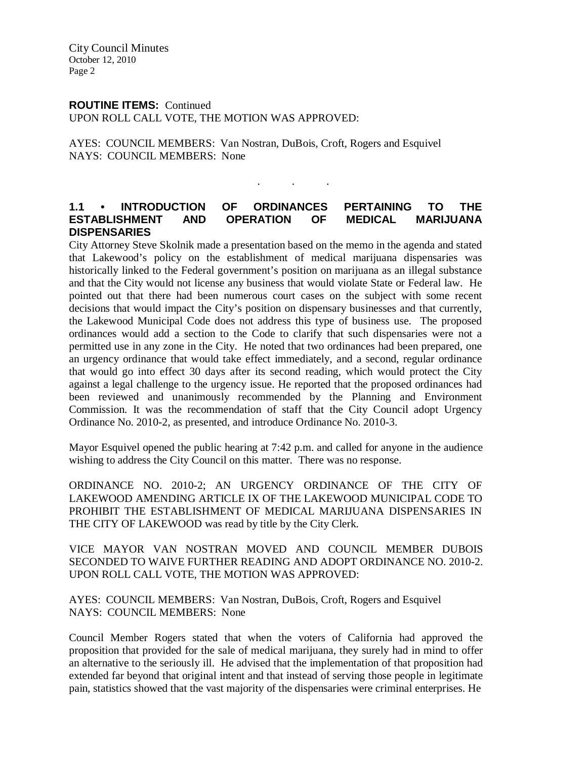City Council Minutes October 12, 2010 Page 2

#### **ROUTINE ITEMS:** Continued

UPON ROLL CALL VOTE, THE MOTION WAS APPROVED:

AYES: COUNCIL MEMBERS: Van Nostran, DuBois, Croft, Rogers and Esquivel NAYS: COUNCIL MEMBERS: None

# **1.1 • INTRODUCTION OF ORDINANCES PERTAINING TO THE ESTABLISHMENT AND OPERATION OF MEDICAL MARIJUANA DISPENSARIES**

. . .

City Attorney Steve Skolnik made a presentation based on the memo in the agenda and stated that Lakewood's policy on the establishment of medical marijuana dispensaries was historically linked to the Federal government's position on marijuana as an illegal substance and that the City would not license any business that would violate State or Federal law. He pointed out that there had been numerous court cases on the subject with some recent decisions that would impact the City's position on dispensary businesses and that currently, the Lakewood Municipal Code does not address this type of business use. The proposed ordinances would add a section to the Code to clarify that such dispensaries were not a permitted use in any zone in the City. He noted that two ordinances had been prepared, one an urgency ordinance that would take effect immediately, and a second, regular ordinance that would go into effect 30 days after its second reading, which would protect the City against a legal challenge to the urgency issue. He reported that the proposed ordinances had been reviewed and unanimously recommended by the Planning and Environment Commission. It was the recommendation of staff that the City Council adopt Urgency Ordinance No. 2010-2, as presented, and introduce Ordinance No. 2010-3.

Mayor Esquivel opened the public hearing at 7:42 p.m. and called for anyone in the audience wishing to address the City Council on this matter. There was no response.

ORDINANCE NO. 2010-2; AN URGENCY ORDINANCE OF THE CITY OF LAKEWOOD AMENDING ARTICLE IX OF THE LAKEWOOD MUNICIPAL CODE TO PROHIBIT THE ESTABLISHMENT OF MEDICAL MARIJUANA DISPENSARIES IN THE CITY OF LAKEWOOD was read by title by the City Clerk.

VICE MAYOR VAN NOSTRAN MOVED AND COUNCIL MEMBER DUBOIS SECONDED TO WAIVE FURTHER READING AND ADOPT ORDINANCE NO. 2010-2. UPON ROLL CALL VOTE, THE MOTION WAS APPROVED:

AYES: COUNCIL MEMBERS: Van Nostran, DuBois, Croft, Rogers and Esquivel NAYS: COUNCIL MEMBERS: None

Council Member Rogers stated that when the voters of California had approved the proposition that provided for the sale of medical marijuana, they surely had in mind to offer an alternative to the seriously ill. He advised that the implementation of that proposition had extended far beyond that original intent and that instead of serving those people in legitimate pain, statistics showed that the vast majority of the dispensaries were criminal enterprises. He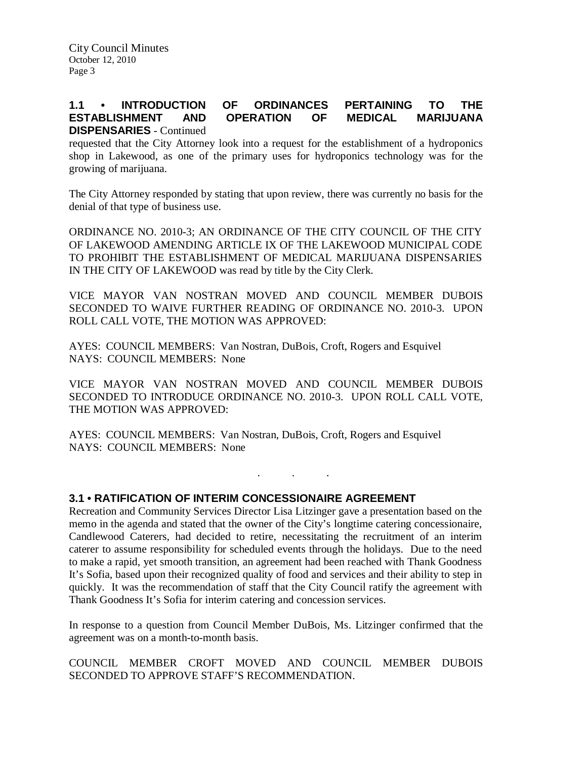# **1.1 • INTRODUCTION OF ORDINANCES PERTAINING TO THE ESTABLISHMENT AND OPERATION OF MEDICAL MARIJUANA DISPENSARIES** - Continued

requested that the City Attorney look into a request for the establishment of a hydroponics shop in Lakewood, as one of the primary uses for hydroponics technology was for the growing of marijuana.

The City Attorney responded by stating that upon review, there was currently no basis for the denial of that type of business use.

ORDINANCE NO. 2010-3; AN ORDINANCE OF THE CITY COUNCIL OF THE CITY OF LAKEWOOD AMENDING ARTICLE IX OF THE LAKEWOOD MUNICIPAL CODE TO PROHIBIT THE ESTABLISHMENT OF MEDICAL MARIJUANA DISPENSARIES IN THE CITY OF LAKEWOOD was read by title by the City Clerk.

VICE MAYOR VAN NOSTRAN MOVED AND COUNCIL MEMBER DUBOIS SECONDED TO WAIVE FURTHER READING OF ORDINANCE NO. 2010-3. UPON ROLL CALL VOTE, THE MOTION WAS APPROVED:

AYES: COUNCIL MEMBERS: Van Nostran, DuBois, Croft, Rogers and Esquivel NAYS: COUNCIL MEMBERS: None

VICE MAYOR VAN NOSTRAN MOVED AND COUNCIL MEMBER DUBOIS SECONDED TO INTRODUCE ORDINANCE NO. 2010-3. UPON ROLL CALL VOTE, THE MOTION WAS APPROVED:

. . .

AYES: COUNCIL MEMBERS: Van Nostran, DuBois, Croft, Rogers and Esquivel NAYS: COUNCIL MEMBERS: None

# **3.1 • RATIFICATION OF INTERIM CONCESSIONAIRE AGREEMENT**

Recreation and Community Services Director Lisa Litzinger gave a presentation based on the memo in the agenda and stated that the owner of the City's longtime catering concessionaire, Candlewood Caterers, had decided to retire, necessitating the recruitment of an interim caterer to assume responsibility for scheduled events through the holidays. Due to the need to make a rapid, yet smooth transition, an agreement had been reached with Thank Goodness It's Sofia, based upon their recognized quality of food and services and their ability to step in quickly. It was the recommendation of staff that the City Council ratify the agreement with Thank Goodness It's Sofia for interim catering and concession services.

In response to a question from Council Member DuBois, Ms. Litzinger confirmed that the agreement was on a month-to-month basis.

COUNCIL MEMBER CROFT MOVED AND COUNCIL MEMBER DUBOIS SECONDED TO APPROVE STAFF'S RECOMMENDATION.